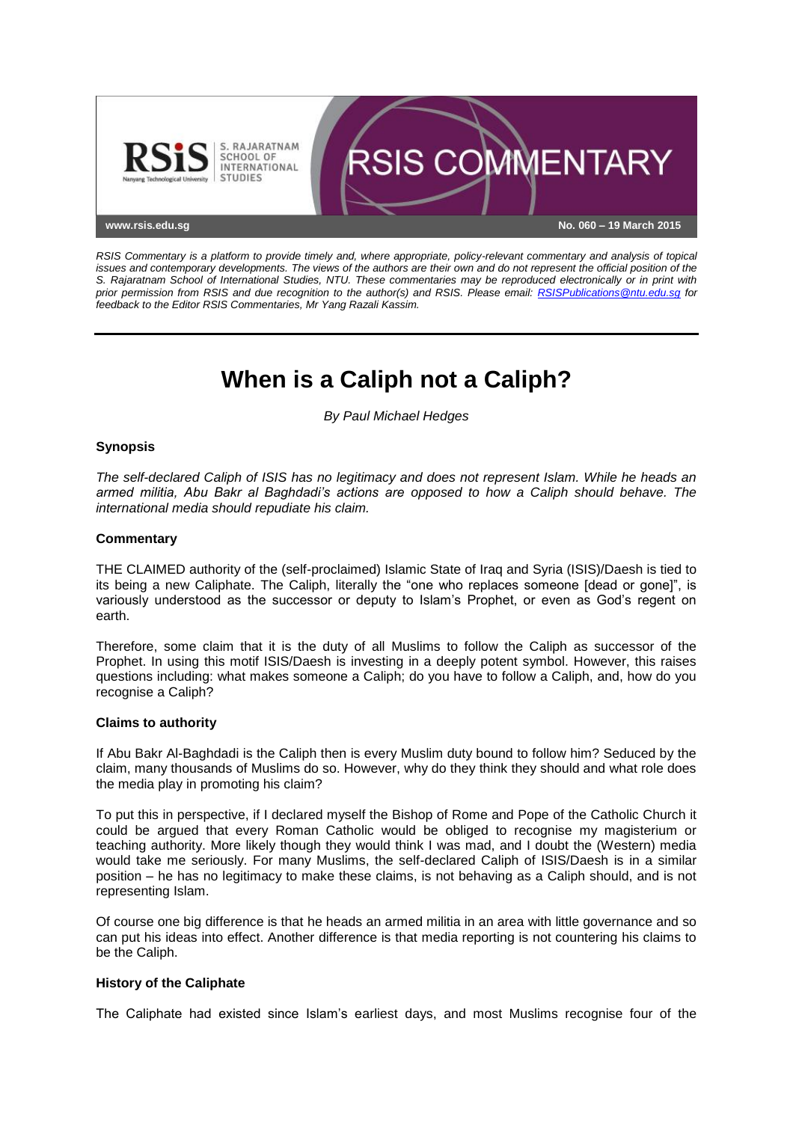

*RSIS Commentary is a platform to provide timely and, where appropriate, policy-relevant commentary and analysis of topical issues and contemporary developments. The views of the authors are their own and do not represent the official position of the S. Rajaratnam School of International Studies, NTU. These commentaries may be reproduced electronically or in print with prior permission from RSIS and due recognition to the author(s) and RSIS. Please email: [RSISPublications@ntu.edu.sg](mailto:RSISPublications@ntu.edu.sg) for feedback to the Editor RSIS Commentaries, Mr Yang Razali Kassim.*

# **When is a Caliph not a Caliph?**

*By Paul Michael Hedges*

## **Synopsis**

*The self-declared Caliph of ISIS has no legitimacy and does not represent Islam. While he heads an armed militia, Abu Bakr al Baghdadi's actions are opposed to how a Caliph should behave. The international media should repudiate his claim.*

### **Commentary**

THE CLAIMED authority of the (self-proclaimed) Islamic State of Iraq and Syria (ISIS)/Daesh is tied to its being a new Caliphate. The Caliph, literally the "one who replaces someone [dead or gone]", is variously understood as the successor or deputy to Islam's Prophet, or even as God's regent on earth.

Therefore, some claim that it is the duty of all Muslims to follow the Caliph as successor of the Prophet. In using this motif ISIS/Daesh is investing in a deeply potent symbol. However, this raises questions including: what makes someone a Caliph; do you have to follow a Caliph, and, how do you recognise a Caliph?

### **Claims to authority**

If Abu Bakr Al-Baghdadi is the Caliph then is every Muslim duty bound to follow him? Seduced by the claim, many thousands of Muslims do so. However, why do they think they should and what role does the media play in promoting his claim?

To put this in perspective, if I declared myself the Bishop of Rome and Pope of the Catholic Church it could be argued that every Roman Catholic would be obliged to recognise my magisterium or teaching authority. More likely though they would think I was mad, and I doubt the (Western) media would take me seriously. For many Muslims, the self-declared Caliph of ISIS/Daesh is in a similar position – he has no legitimacy to make these claims, is not behaving as a Caliph should, and is not representing Islam.

Of course one big difference is that he heads an armed militia in an area with little governance and so can put his ideas into effect. Another difference is that media reporting is not countering his claims to be the Caliph.

### **History of the Caliphate**

The Caliphate had existed since Islam's earliest days, and most Muslims recognise four of the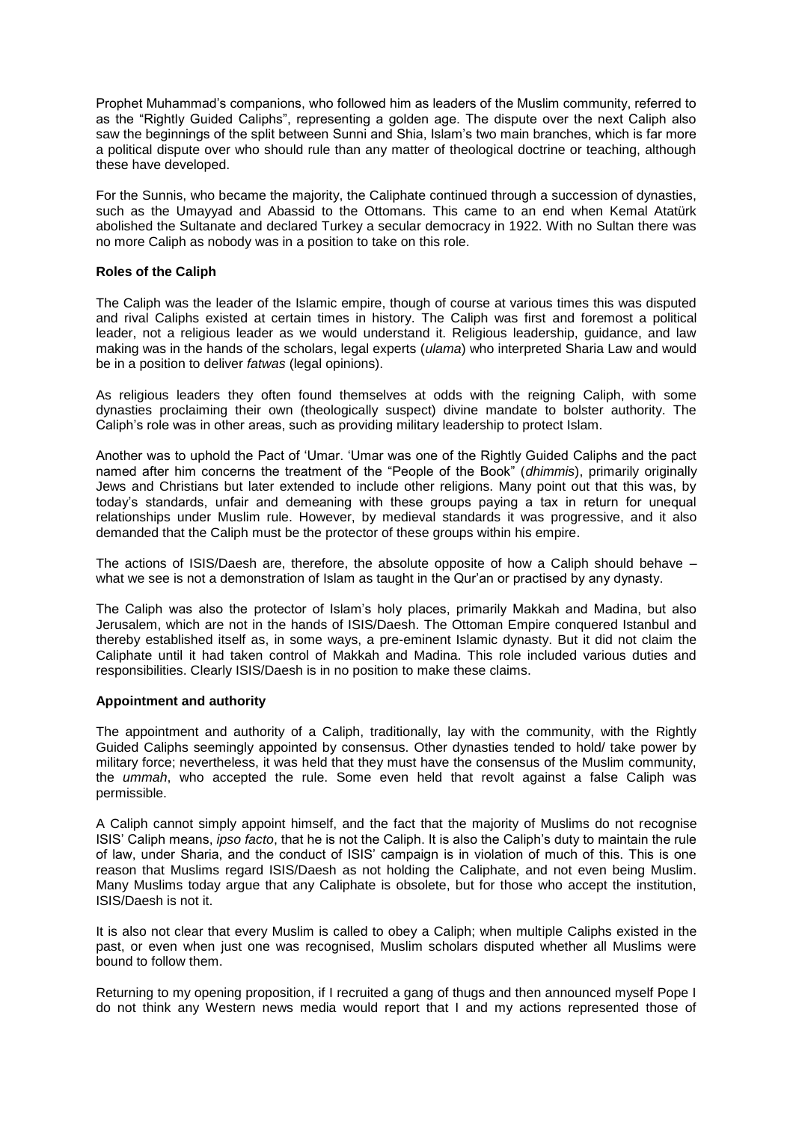Prophet Muhammad's companions, who followed him as leaders of the Muslim community, referred to as the "Rightly Guided Caliphs", representing a golden age. The dispute over the next Caliph also saw the beginnings of the split between Sunni and Shia, Islam's two main branches, which is far more a political dispute over who should rule than any matter of theological doctrine or teaching, although these have developed.

For the Sunnis, who became the majority, the Caliphate continued through a succession of dynasties, such as the Umayyad and Abassid to the Ottomans. This came to an end when Kemal Atatürk abolished the Sultanate and declared Turkey a secular democracy in 1922. With no Sultan there was no more Caliph as nobody was in a position to take on this role.

### **Roles of the Caliph**

The Caliph was the leader of the Islamic empire, though of course at various times this was disputed and rival Caliphs existed at certain times in history. The Caliph was first and foremost a political leader, not a religious leader as we would understand it. Religious leadership, guidance, and law making was in the hands of the scholars, legal experts (*ulama*) who interpreted Sharia Law and would be in a position to deliver *fatwas* (legal opinions).

As religious leaders they often found themselves at odds with the reigning Caliph, with some dynasties proclaiming their own (theologically suspect) divine mandate to bolster authority. The Caliph's role was in other areas, such as providing military leadership to protect Islam.

Another was to uphold the Pact of 'Umar. 'Umar was one of the Rightly Guided Caliphs and the pact named after him concerns the treatment of the "People of the Book" (*dhimmis*), primarily originally Jews and Christians but later extended to include other religions. Many point out that this was, by today's standards, unfair and demeaning with these groups paying a tax in return for unequal relationships under Muslim rule. However, by medieval standards it was progressive, and it also demanded that the Caliph must be the protector of these groups within his empire.

The actions of ISIS/Daesh are, therefore, the absolute opposite of how a Caliph should behave – what we see is not a demonstration of Islam as taught in the Qur'an or practised by any dynasty.

The Caliph was also the protector of Islam's holy places, primarily Makkah and Madina, but also Jerusalem, which are not in the hands of ISIS/Daesh. The Ottoman Empire conquered Istanbul and thereby established itself as, in some ways, a pre-eminent Islamic dynasty. But it did not claim the Caliphate until it had taken control of Makkah and Madina. This role included various duties and responsibilities. Clearly ISIS/Daesh is in no position to make these claims.

### **Appointment and authority**

The appointment and authority of a Caliph, traditionally, lay with the community, with the Rightly Guided Caliphs seemingly appointed by consensus. Other dynasties tended to hold/ take power by military force; nevertheless, it was held that they must have the consensus of the Muslim community, the *ummah*, who accepted the rule. Some even held that revolt against a false Caliph was permissible.

A Caliph cannot simply appoint himself, and the fact that the majority of Muslims do not recognise ISIS' Caliph means, *ipso facto*, that he is not the Caliph. It is also the Caliph's duty to maintain the rule of law, under Sharia, and the conduct of ISIS' campaign is in violation of much of this. This is one reason that Muslims regard ISIS/Daesh as not holding the Caliphate, and not even being Muslim. Many Muslims today argue that any Caliphate is obsolete, but for those who accept the institution, ISIS/Daesh is not it.

It is also not clear that every Muslim is called to obey a Caliph; when multiple Caliphs existed in the past, or even when just one was recognised, Muslim scholars disputed whether all Muslims were bound to follow them.

Returning to my opening proposition, if I recruited a gang of thugs and then announced myself Pope I do not think any Western news media would report that I and my actions represented those of